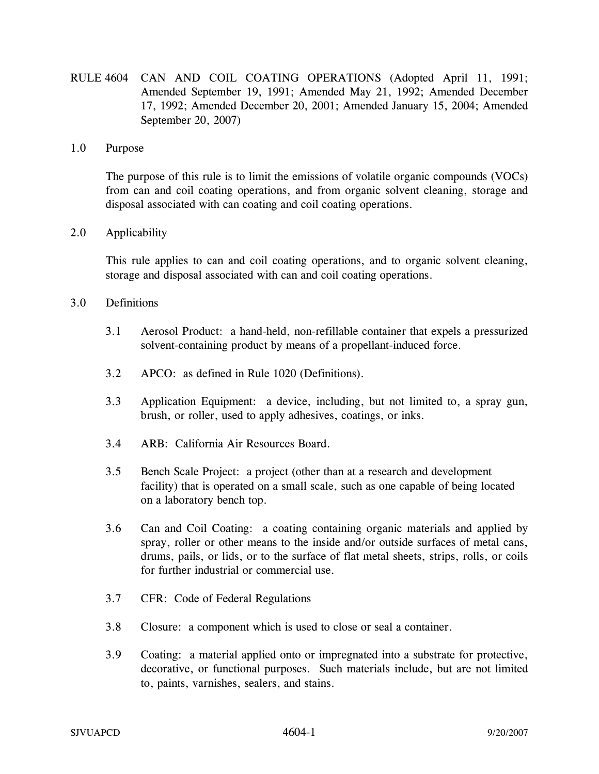RULE 4604 CAN AND COIL COATING OPERATIONS (Adopted April 11, 1991; Amended September 19, 1991; Amended May 21, 1992; Amended December 17, 1992; Amended December 20, 2001; Amended January 15, 2004; Amended September 20, 2007)

## 1.0 Purpose

 The purpose of this rule is to limit the emissions of volatile organic compounds (VOCs) from can and coil coating operations, and from organic solvent cleaning, storage and disposal associated with can coating and coil coating operations.

## 2.0 Applicability

 This rule applies to can and coil coating operations, and to organic solvent cleaning, storage and disposal associated with can and coil coating operations.

## 3.0 Definitions

- 3.1 Aerosol Product: a hand-held, non-refillable container that expels a pressurized solvent-containing product by means of a propellant-induced force.
- 3.2 APCO: as defined in Rule 1020 (Definitions).
- 3.3 Application Equipment: a device, including, but not limited to, a spray gun, brush, or roller, used to apply adhesives, coatings, or inks.
- 3.4 ARB: California Air Resources Board.
- 3.5 Bench Scale Project: a project (other than at a research and development facility) that is operated on a small scale, such as one capable of being located on a laboratory bench top.
- 3.6 Can and Coil Coating: a coating containing organic materials and applied by spray, roller or other means to the inside and/or outside surfaces of metal cans, drums, pails, or lids, or to the surface of flat metal sheets, strips, rolls, or coils for further industrial or commercial use.
- 3.7 CFR: Code of Federal Regulations
- 3.8 Closure: a component which is used to close or seal a container.
- 3.9 Coating: a material applied onto or impregnated into a substrate for protective, decorative, or functional purposes. Such materials include, but are not limited to, paints, varnishes, sealers, and stains.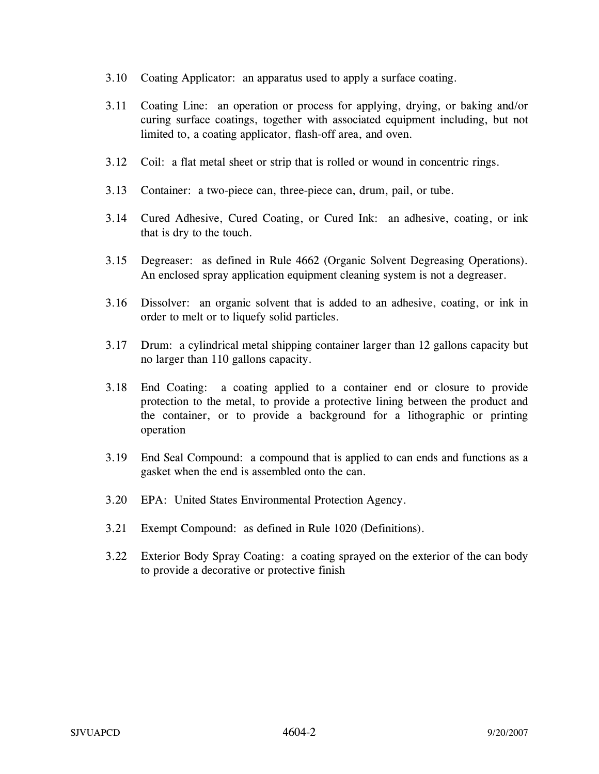- 3.10 Coating Applicator: an apparatus used to apply a surface coating.
- 3.11 Coating Line: an operation or process for applying, drying, or baking and/or curing surface coatings, together with associated equipment including, but not limited to, a coating applicator, flash-off area, and oven.
- 3.12 Coil: a flat metal sheet or strip that is rolled or wound in concentric rings.
- 3.13 Container: a two-piece can, three-piece can, drum, pail, or tube.
- 3.14 Cured Adhesive, Cured Coating, or Cured Ink: an adhesive, coating, or ink that is dry to the touch.
- 3.15 Degreaser: as defined in Rule 4662 (Organic Solvent Degreasing Operations). An enclosed spray application equipment cleaning system is not a degreaser.
- 3.16 Dissolver: an organic solvent that is added to an adhesive, coating, or ink in order to melt or to liquefy solid particles.
- 3.17 Drum: a cylindrical metal shipping container larger than 12 gallons capacity but no larger than 110 gallons capacity.
- 3.18 End Coating: a coating applied to a container end or closure to provide protection to the metal, to provide a protective lining between the product and the container, or to provide a background for a lithographic or printing operation
- 3.19 End Seal Compound: a compound that is applied to can ends and functions as a gasket when the end is assembled onto the can.
- 3.20 EPA: United States Environmental Protection Agency.
- 3.21 Exempt Compound: as defined in Rule 1020 (Definitions).
- 3.22 Exterior Body Spray Coating: a coating sprayed on the exterior of the can body to provide a decorative or protective finish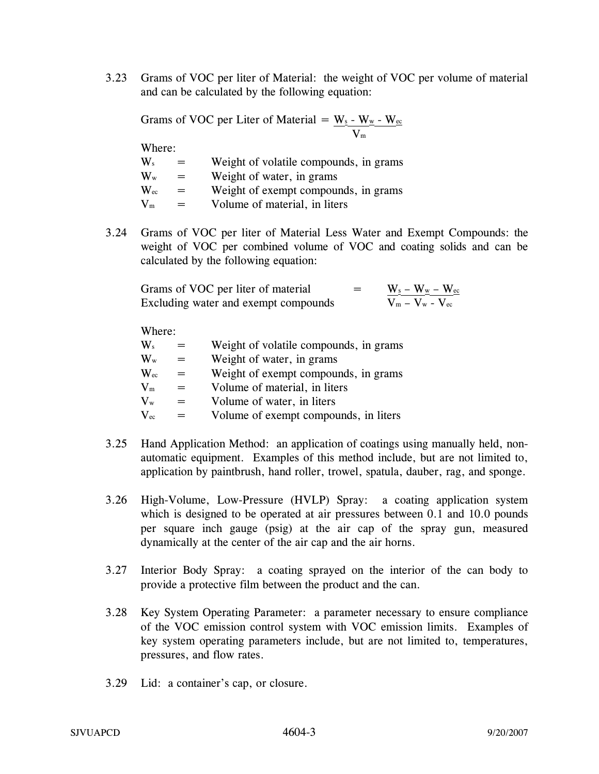3.23 Grams of VOC per liter of Material: the weight of VOC per volume of material and can be calculated by the following equation:

Grams of VOC per Liter of Material =  $W_2$  -  $W_w$  -  $W_{\infty}$ Vm

$$
\boxed{V_{\text{m}}}
$$

Where:

| $\mathbf{W}_s$            | $=$      | Weight of volatile compounds, in grams |
|---------------------------|----------|----------------------------------------|
| $\mathbf{W}_{\mathrm{w}}$ | $=$      | Weight of water, in grams              |
| $\mathbf{W}_{\text{ec}}$  | $=$      | Weight of exempt compounds, in grams   |
| $V_m$                     | $\equiv$ | Volume of material, in liters          |

3.24 Grams of VOC per liter of Material Less Water and Exempt Compounds: the weight of VOC per combined volume of VOC and coating solids and can be calculated by the following equation:

| Grams of VOC per liter of material   | = | $W_{\underline{s}} - W_{\underline{w}} - W_{\underline{ec}}$ |
|--------------------------------------|---|--------------------------------------------------------------|
| Excluding water and exempt compounds |   | $V_m - V_w - V_{ec}$                                         |

Where:

| $\mathbf{W}_s$            | $=$ | Weight of volatile compounds, in grams |
|---------------------------|-----|----------------------------------------|
| $\mathbf{W}_{\mathrm{w}}$ | $=$ | Weight of water, in grams              |
| $\rm{W}_{\rm{ec}}$        | $=$ | Weight of exempt compounds, in grams   |
| $\mathbf{V}_{\text{m}}$   | $=$ | Volume of material, in liters          |
| $\mathbf{V}_{\mathrm{w}}$ | $=$ | Volume of water, in liters             |
| $\rm V_{ec}$              |     | Volume of exempt compounds, in liters  |

- 3.25 Hand Application Method: an application of coatings using manually held, nonautomatic equipment. Examples of this method include, but are not limited to, application by paintbrush, hand roller, trowel, spatula, dauber, rag, and sponge.
- 3.26 High-Volume, Low-Pressure (HVLP) Spray: a coating application system which is designed to be operated at air pressures between 0.1 and 10.0 pounds per square inch gauge (psig) at the air cap of the spray gun, measured dynamically at the center of the air cap and the air horns.
- 3.27 Interior Body Spray: a coating sprayed on the interior of the can body to provide a protective film between the product and the can.
- 3.28 Key System Operating Parameter: a parameter necessary to ensure compliance of the VOC emission control system with VOC emission limits. Examples of key system operating parameters include, but are not limited to, temperatures, pressures, and flow rates.
- 3.29 Lid: a container's cap, or closure.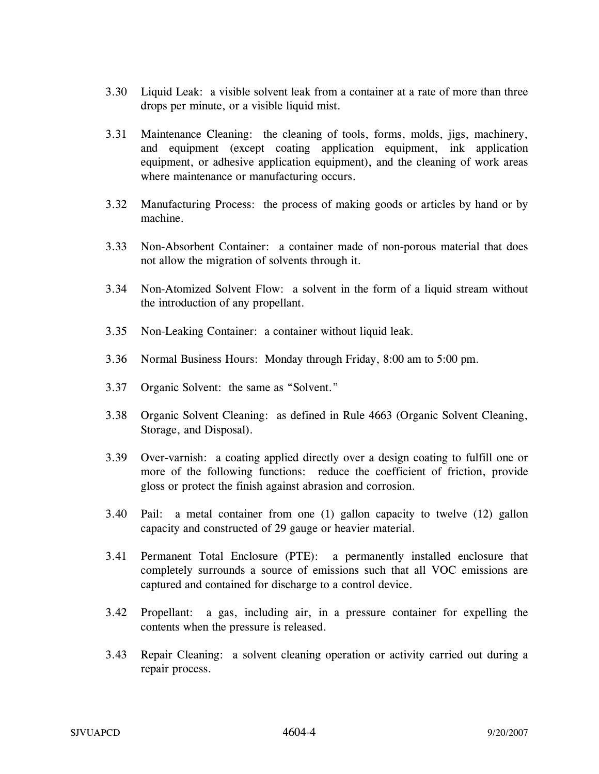- 3.30 Liquid Leak: a visible solvent leak from a container at a rate of more than three drops per minute, or a visible liquid mist.
- 3.31 Maintenance Cleaning: the cleaning of tools, forms, molds, jigs, machinery, and equipment (except coating application equipment, ink application equipment, or adhesive application equipment), and the cleaning of work areas where maintenance or manufacturing occurs.
- 3.32 Manufacturing Process: the process of making goods or articles by hand or by machine.
- 3.33 Non-Absorbent Container: a container made of non-porous material that does not allow the migration of solvents through it.
- 3.34 Non-Atomized Solvent Flow: a solvent in the form of a liquid stream without the introduction of any propellant.
- 3.35 Non-Leaking Container: a container without liquid leak.
- 3.36 Normal Business Hours: Monday through Friday, 8:00 am to 5:00 pm.
- 3.37 Organic Solvent: the same as "Solvent."
- 3.38 Organic Solvent Cleaning: as defined in Rule 4663 (Organic Solvent Cleaning, Storage, and Disposal).
- 3.39 Over-varnish: a coating applied directly over a design coating to fulfill one or more of the following functions: reduce the coefficient of friction, provide gloss or protect the finish against abrasion and corrosion.
- 3.40 Pail: a metal container from one (1) gallon capacity to twelve (12) gallon capacity and constructed of 29 gauge or heavier material.
- 3.41 Permanent Total Enclosure (PTE): a permanently installed enclosure that completely surrounds a source of emissions such that all VOC emissions are captured and contained for discharge to a control device.
- 3.42 Propellant: a gas, including air, in a pressure container for expelling the contents when the pressure is released.
- 3.43 Repair Cleaning: a solvent cleaning operation or activity carried out during a repair process.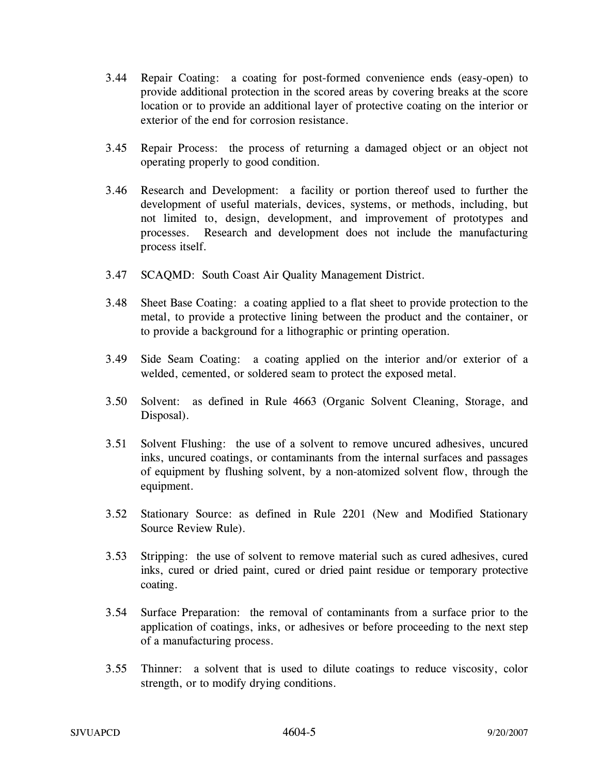- 3.44 Repair Coating: a coating for post-formed convenience ends (easy-open) to provide additional protection in the scored areas by covering breaks at the score location or to provide an additional layer of protective coating on the interior or exterior of the end for corrosion resistance.
- 3.45 Repair Process: the process of returning a damaged object or an object not operating properly to good condition.
- 3.46 Research and Development: a facility or portion thereof used to further the development of useful materials, devices, systems, or methods, including, but not limited to, design, development, and improvement of prototypes and processes. Research and development does not include the manufacturing process itself.
- 3.47 SCAQMD: South Coast Air Quality Management District.
- 3.48 Sheet Base Coating: a coating applied to a flat sheet to provide protection to the metal, to provide a protective lining between the product and the container, or to provide a background for a lithographic or printing operation.
- 3.49 Side Seam Coating: a coating applied on the interior and/or exterior of a welded, cemented, or soldered seam to protect the exposed metal.
- 3.50 Solvent: as defined in Rule 4663 (Organic Solvent Cleaning, Storage, and Disposal).
- 3.51 Solvent Flushing: the use of a solvent to remove uncured adhesives, uncured inks, uncured coatings, or contaminants from the internal surfaces and passages of equipment by flushing solvent, by a non-atomized solvent flow, through the equipment.
- 3.52 Stationary Source: as defined in Rule 2201 (New and Modified Stationary Source Review Rule).
- 3.53 Stripping: the use of solvent to remove material such as cured adhesives, cured inks, cured or dried paint, cured or dried paint residue or temporary protective coating.
- 3.54 Surface Preparation: the removal of contaminants from a surface prior to the application of coatings, inks, or adhesives or before proceeding to the next step of a manufacturing process.
- 3.55 Thinner: a solvent that is used to dilute coatings to reduce viscosity, color strength, or to modify drying conditions.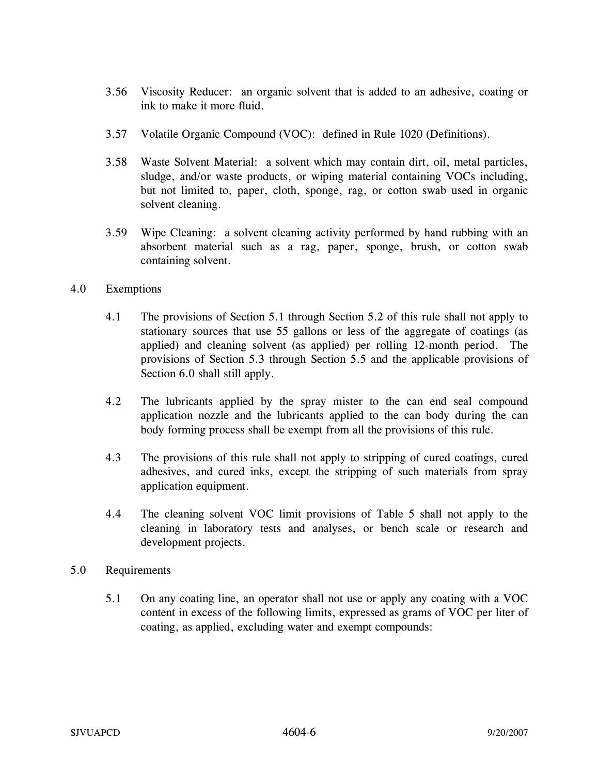- 3.56 Viscosity Reducer: an organic solvent that is added to an adhesive, coating or ink to make it more fluid.
- 3.57 Volatile Organic Compound (VOC): defined in Rule 1020 (Definitions).
- 3.58 Waste Solvent Material: a solvent which may contain dirt, oil, metal particles, sludge, and/or waste products, or wiping material containing VOCs including, but not limited to, paper, cloth, sponge, rag, or cotton swab used in organic solvent cleaning.
- 3.59 Wipe Cleaning: a solvent cleaning activity performed by hand rubbing with an absorbent material such as a rag, paper, sponge, brush, or cotton swab containing solvent.

## 4.0 Exemptions

- 4.1 The provisions of Section 5.1 through Section 5.2 of this rule shall not apply to stationary sources that use 55 gallons or less of the aggregate of coatings (as applied) and cleaning solvent (as applied) per rolling 12-month period. The provisions of Section 5.3 through Section 5.5 and the applicable provisions of Section 6.0 shall still apply.
- 4.2 The lubricants applied by the spray mister to the can end seal compound application nozzle and the lubricants applied to the can body during the can body forming process shall be exempt from all the provisions of this rule.
- 4.3 The provisions of this rule shall not apply to stripping of cured coatings, cured adhesives, and cured inks, except the stripping of such materials from spray application equipment.
- 4.4 The cleaning solvent VOC limit provisions of Table 5 shall not apply to the cleaning in laboratory tests and analyses, or bench scale or research and development projects.

## 5.0 Requirements

5.1 On any coating line, an operator shall not use or apply any coating with a VOC content in excess of the following limits, expressed as grams of VOC per liter of coating, as applied, excluding water and exempt compounds: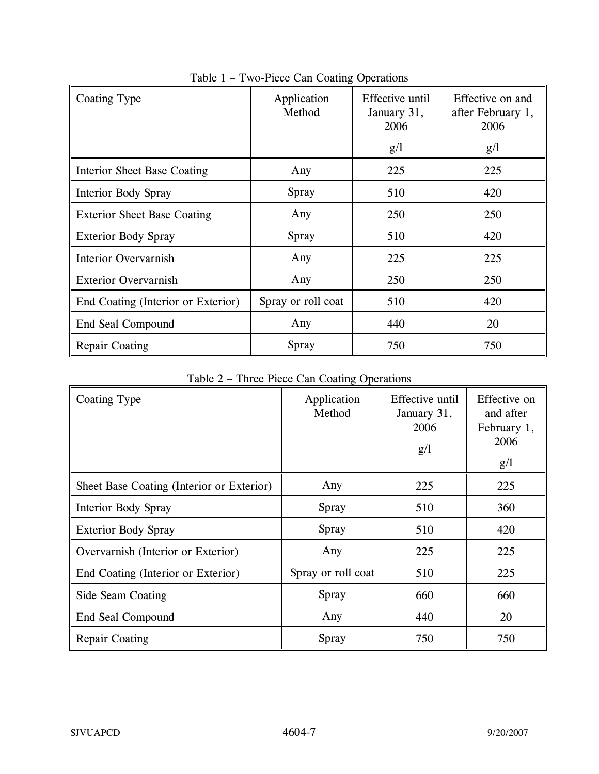| Coating Type                       | Application<br>Method | Effective until<br>January 31,<br>2006 | Effective on and<br>after February 1,<br>2006 |
|------------------------------------|-----------------------|----------------------------------------|-----------------------------------------------|
|                                    |                       | g/l                                    | g/l                                           |
| <b>Interior Sheet Base Coating</b> | Any                   | 225                                    | 225                                           |
| Interior Body Spray                | Spray                 | 510                                    | 420                                           |
| <b>Exterior Sheet Base Coating</b> | Any                   | 250                                    | 250                                           |
| <b>Exterior Body Spray</b>         | Spray                 | 510                                    | 420                                           |
| Interior Overvarnish               | Any                   | 225                                    | 225                                           |
| <b>Exterior Overvarnish</b>        | Any                   | 250                                    | 250                                           |
| End Coating (Interior or Exterior) | Spray or roll coat    | 510                                    | 420                                           |
| End Seal Compound                  | Any                   | 440                                    | 20                                            |
| <b>Repair Coating</b>              | Spray                 | 750                                    | 750                                           |

Table 1 – Two-Piece Can Coating Operations

Table 2 – Three Piece Can Coating Operations

| Coating Type                              | Application<br>Method | Effective until<br>January 31,<br>2006<br>g/l | Effective on<br>and after<br>February 1,<br>2006<br>g/l |
|-------------------------------------------|-----------------------|-----------------------------------------------|---------------------------------------------------------|
| Sheet Base Coating (Interior or Exterior) | Any                   | 225                                           | 225                                                     |
| <b>Interior Body Spray</b>                | Spray                 | 510                                           | 360                                                     |
| <b>Exterior Body Spray</b>                | Spray                 | 510                                           | 420                                                     |
| Overvarnish (Interior or Exterior)        | Any                   | 225                                           | 225                                                     |
| End Coating (Interior or Exterior)        | Spray or roll coat    | 510                                           | 225                                                     |
| Side Seam Coating                         | Spray                 | 660                                           | 660                                                     |
| End Seal Compound                         | Any                   | 440                                           | 20                                                      |
| <b>Repair Coating</b>                     | Spray                 | 750                                           | 750                                                     |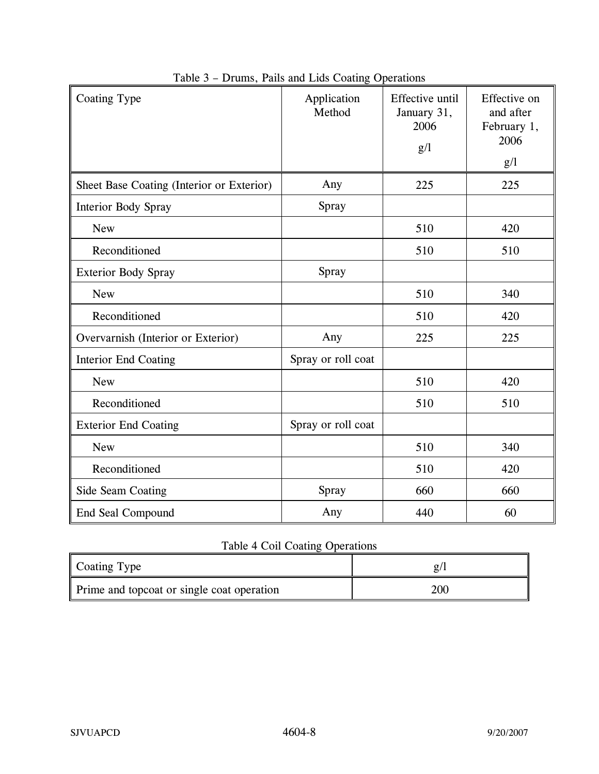| Coating Type                              | Application<br>Method | Effective until<br>January 31,<br>2006<br>g/l | Effective on<br>and after<br>February 1,<br>2006<br>g/l |
|-------------------------------------------|-----------------------|-----------------------------------------------|---------------------------------------------------------|
| Sheet Base Coating (Interior or Exterior) | Any                   | 225                                           | 225                                                     |
| <b>Interior Body Spray</b>                | Spray                 |                                               |                                                         |
| <b>New</b>                                |                       | 510                                           | 420                                                     |
| Reconditioned                             |                       | 510                                           | 510                                                     |
| <b>Exterior Body Spray</b>                | Spray                 |                                               |                                                         |
| <b>New</b>                                |                       | 510                                           | 340                                                     |
| Reconditioned                             |                       | 510                                           | 420                                                     |
| Overvarnish (Interior or Exterior)        | Any                   | 225                                           | 225                                                     |
| <b>Interior End Coating</b>               | Spray or roll coat    |                                               |                                                         |
| <b>New</b>                                |                       | 510                                           | 420                                                     |
| Reconditioned                             |                       | 510                                           | 510                                                     |
| <b>Exterior End Coating</b>               | Spray or roll coat    |                                               |                                                         |
| <b>New</b>                                |                       | 510                                           | 340                                                     |
| Reconditioned                             |                       | 510                                           | 420                                                     |
| Side Seam Coating                         | Spray                 | 660                                           | 660                                                     |
| End Seal Compound                         | Any                   | 440                                           | 60                                                      |

|  |  | Table 3 – Drums, Pails and Lids Coating Operations |
|--|--|----------------------------------------------------|
|  |  |                                                    |

# Table 4 Coil Coating Operations

| Coating Type                               |     |
|--------------------------------------------|-----|
| Prime and topcoat or single coat operation | 200 |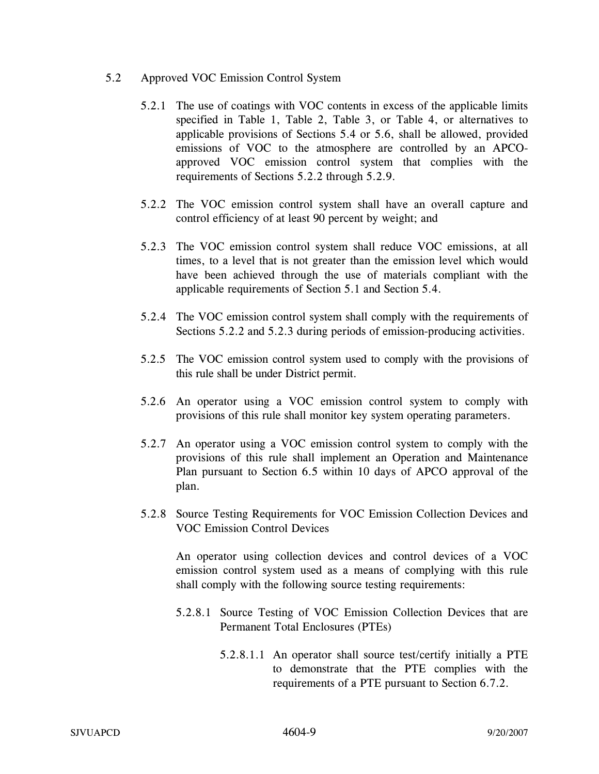- 5.2 Approved VOC Emission Control System
	- 5.2.1 The use of coatings with VOC contents in excess of the applicable limits specified in Table 1, Table 2, Table 3, or Table 4, or alternatives to applicable provisions of Sections 5.4 or 5.6, shall be allowed, provided emissions of VOC to the atmosphere are controlled by an APCOapproved VOC emission control system that complies with the requirements of Sections 5.2.2 through 5.2.9.
	- 5.2.2 The VOC emission control system shall have an overall capture and control efficiency of at least 90 percent by weight; and
	- 5.2.3 The VOC emission control system shall reduce VOC emissions, at all times, to a level that is not greater than the emission level which would have been achieved through the use of materials compliant with the applicable requirements of Section 5.1 and Section 5.4.
	- 5.2.4 The VOC emission control system shall comply with the requirements of Sections 5.2.2 and 5.2.3 during periods of emission-producing activities.
	- 5.2.5 The VOC emission control system used to comply with the provisions of this rule shall be under District permit.
	- 5.2.6 An operator using a VOC emission control system to comply with provisions of this rule shall monitor key system operating parameters.
	- 5.2.7 An operator using a VOC emission control system to comply with the provisions of this rule shall implement an Operation and Maintenance Plan pursuant to Section 6.5 within 10 days of APCO approval of the plan.
	- 5.2.8 Source Testing Requirements for VOC Emission Collection Devices and VOC Emission Control Devices

An operator using collection devices and control devices of a VOC emission control system used as a means of complying with this rule shall comply with the following source testing requirements:

- 5.2.8.1 Source Testing of VOC Emission Collection Devices that are Permanent Total Enclosures (PTEs)
	- 5.2.8.1.1 An operator shall source test/certify initially a PTE to demonstrate that the PTE complies with the requirements of a PTE pursuant to Section 6.7.2.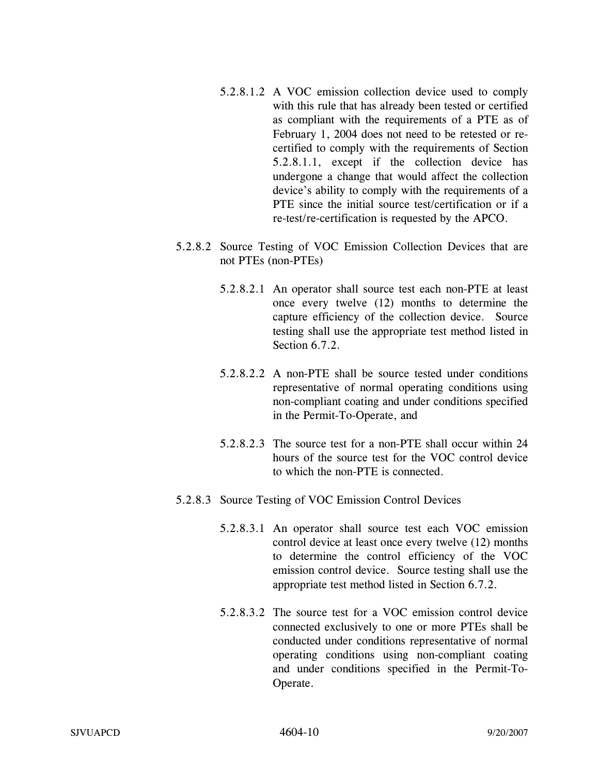- 5.2.8.1.2 A VOC emission collection device used to comply with this rule that has already been tested or certified as compliant with the requirements of a PTE as of February 1, 2004 does not need to be retested or recertified to comply with the requirements of Section 5.2.8.1.1, except if the collection device has undergone a change that would affect the collection device's ability to comply with the requirements of a PTE since the initial source test/certification or if a re-test/re-certification is requested by the APCO.
- 5.2.8.2 Source Testing of VOC Emission Collection Devices that are not PTEs (non-PTEs)
	- 5.2.8.2.1 An operator shall source test each non-PTE at least once every twelve (12) months to determine the capture efficiency of the collection device. Source testing shall use the appropriate test method listed in Section 6.7.2.
	- 5.2.8.2.2 A non-PTE shall be source tested under conditions representative of normal operating conditions using non-compliant coating and under conditions specified in the Permit-To-Operate, and
	- 5.2.8.2.3 The source test for a non-PTE shall occur within 24 hours of the source test for the VOC control device to which the non-PTE is connected.
- 5.2.8.3 Source Testing of VOC Emission Control Devices
	- 5.2.8.3.1 An operator shall source test each VOC emission control device at least once every twelve (12) months to determine the control efficiency of the VOC emission control device. Source testing shall use the appropriate test method listed in Section 6.7.2.
	- 5.2.8.3.2 The source test for a VOC emission control device connected exclusively to one or more PTEs shall be conducted under conditions representative of normal operating conditions using non-compliant coating and under conditions specified in the Permit-To-Operate.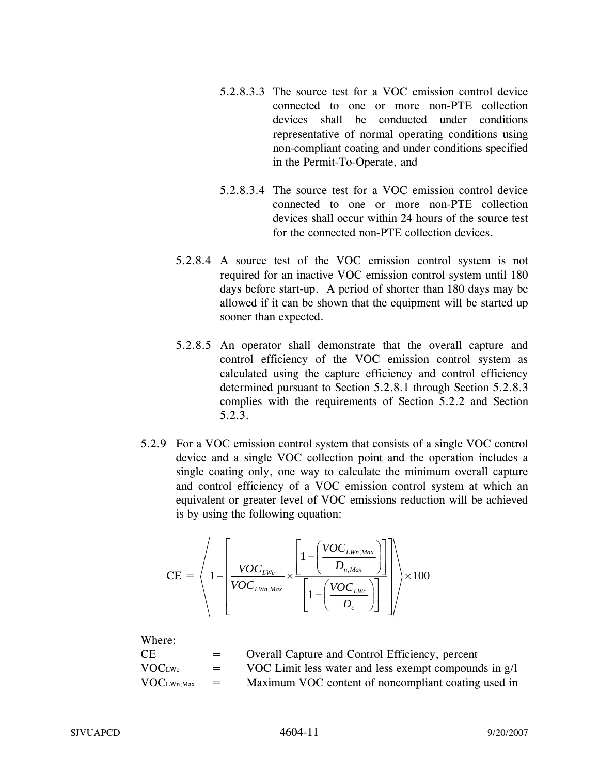- 5.2.8.3.3 The source test for a VOC emission control device connected to one or more non-PTE collection devices shall be conducted under conditions representative of normal operating conditions using non-compliant coating and under conditions specified in the Permit-To-Operate, and
- 5.2.8.3.4 The source test for a VOC emission control device connected to one or more non-PTE collection devices shall occur within 24 hours of the source test for the connected non-PTE collection devices.
- 5.2.8.4 A source test of the VOC emission control system is not required for an inactive VOC emission control system until 180 days before start-up. A period of shorter than 180 days may be allowed if it can be shown that the equipment will be started up sooner than expected.
- 5.2.8.5 An operator shall demonstrate that the overall capture and control efficiency of the VOC emission control system as calculated using the capture efficiency and control efficiency determined pursuant to Section 5.2.8.1 through Section 5.2.8.3 complies with the requirements of Section 5.2.2 and Section 5.2.3.
- 5.2.9 For a VOC emission control system that consists of a single VOC control device and a single VOC collection point and the operation includes a single coating only, one way to calculate the minimum overall capture and control efficiency of a VOC emission control system at which an equivalent or greater level of VOC emissions reduction will be achieved is by using the following equation:

$$
\text{CE} = \left\langle 1 - \left[ \frac{VOC_{LWc}}{VOC_{LWn, Max}} \times \frac{\left[ 1 - \left( \frac{VOC_{LWn, Max}}{D_{n, Max}} \right) \right]}{\left[ 1 - \left( \frac{VOC_{LWc}}{D_c} \right) \right]} \right] \right\rangle \times 100
$$

| Where:                        |                   |                                                       |
|-------------------------------|-------------------|-------------------------------------------------------|
| CE.                           | $=$               | Overall Capture and Control Efficiency, percent       |
| VOC <sub>LWc</sub>            | $=$               | VOC Limit less water and less exempt compounds in g/l |
| $\text{VOC}_{\text{LWh,Max}}$ | $\equiv$ $\equiv$ | Maximum VOC content of noncompliant coating used in   |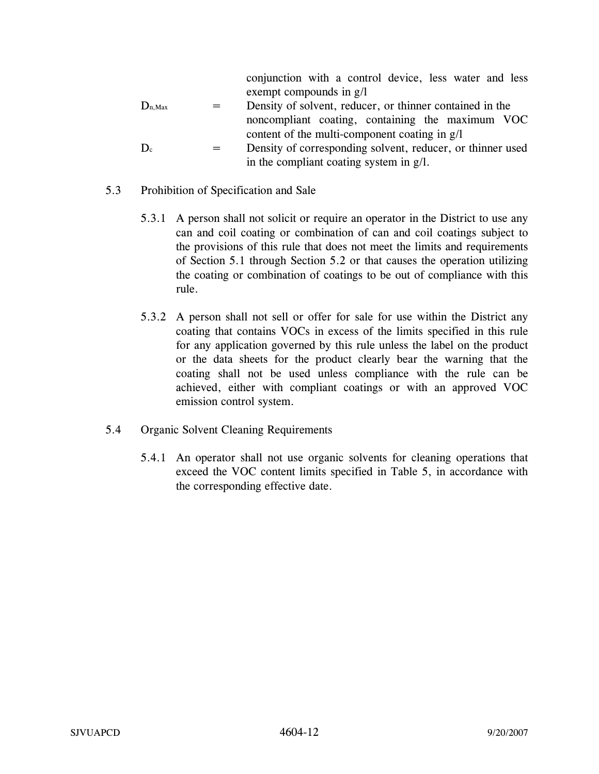conjunction with a control device, less water and less exempt compounds in g/l

- $D_{n,Max}$  = Density of solvent, reducer, or thinner contained in the noncompliant coating, containing the maximum VOC content of the multi-component coating in g/l
- $D_c$  = Density of corresponding solvent, reducer, or thinner used in the compliant coating system in g/l.
- 5.3 Prohibition of Specification and Sale
	- 5.3.1 A person shall not solicit or require an operator in the District to use any can and coil coating or combination of can and coil coatings subject to the provisions of this rule that does not meet the limits and requirements of Section 5.1 through Section 5.2 or that causes the operation utilizing the coating or combination of coatings to be out of compliance with this rule.
	- 5.3.2 A person shall not sell or offer for sale for use within the District any coating that contains VOCs in excess of the limits specified in this rule for any application governed by this rule unless the label on the product or the data sheets for the product clearly bear the warning that the coating shall not be used unless compliance with the rule can be achieved, either with compliant coatings or with an approved VOC emission control system.
- 5.4 Organic Solvent Cleaning Requirements
	- 5.4.1 An operator shall not use organic solvents for cleaning operations that exceed the VOC content limits specified in Table 5, in accordance with the corresponding effective date.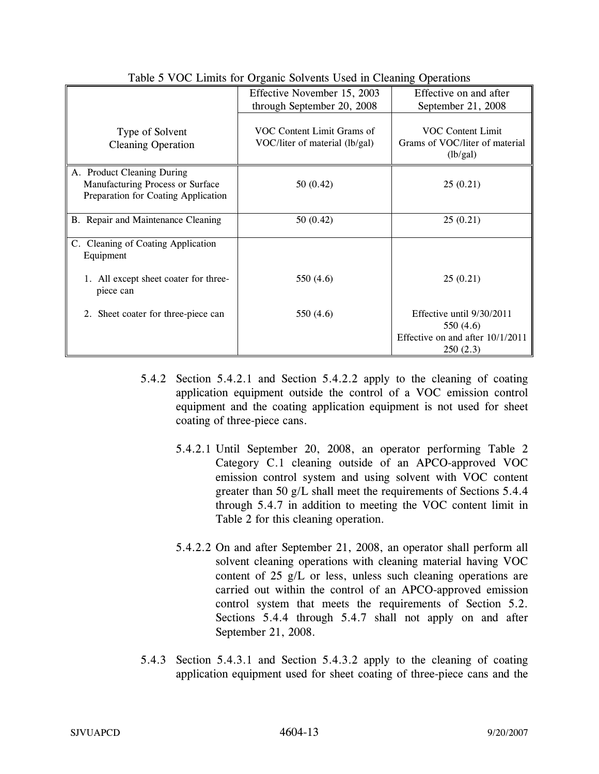|                                                                                                       | Effective November 15, 2003<br>through September 20, 2008    | Effective on and after<br>September 21, 2008                                             |
|-------------------------------------------------------------------------------------------------------|--------------------------------------------------------------|------------------------------------------------------------------------------------------|
| Type of Solvent<br><b>Cleaning Operation</b>                                                          | VOC Content Limit Grams of<br>VOC/liter of material (lb/gal) | <b>VOC Content Limit</b><br>Grams of VOC/liter of material<br>(lb/gal)                   |
| A. Product Cleaning During<br>Manufacturing Process or Surface<br>Preparation for Coating Application | 50(0.42)                                                     | 25(0.21)                                                                                 |
| B. Repair and Maintenance Cleaning                                                                    | 50(0.42)                                                     | 25(0.21)                                                                                 |
| C. Cleaning of Coating Application<br>Equipment                                                       |                                                              |                                                                                          |
| 1. All except sheet coater for three-<br>piece can                                                    | 550 (4.6)                                                    | 25(0.21)                                                                                 |
| 2. Sheet coater for three-piece can                                                                   | 550 (4.6)                                                    | Effective until 9/30/2011<br>550 (4.6)<br>Effective on and after $10/1/2011$<br>250(2.3) |

Table 5 VOC Limits for Organic Solvents Used in Cleaning Operations

- 5.4.2 Section 5.4.2.1 and Section 5.4.2.2 apply to the cleaning of coating application equipment outside the control of a VOC emission control equipment and the coating application equipment is not used for sheet coating of three-piece cans.
	- 5.4.2.1 Until September 20, 2008, an operator performing Table 2 Category C.1 cleaning outside of an APCO-approved VOC emission control system and using solvent with VOC content greater than 50 g/L shall meet the requirements of Sections 5.4.4 through 5.4.7 in addition to meeting the VOC content limit in Table 2 for this cleaning operation.
	- 5.4.2.2 On and after September 21, 2008, an operator shall perform all solvent cleaning operations with cleaning material having VOC content of 25 g/L or less, unless such cleaning operations are carried out within the control of an APCO-approved emission control system that meets the requirements of Section 5.2. Sections 5.4.4 through 5.4.7 shall not apply on and after September 21, 2008.
- 5.4.3 Section 5.4.3.1 and Section 5.4.3.2 apply to the cleaning of coating application equipment used for sheet coating of three-piece cans and the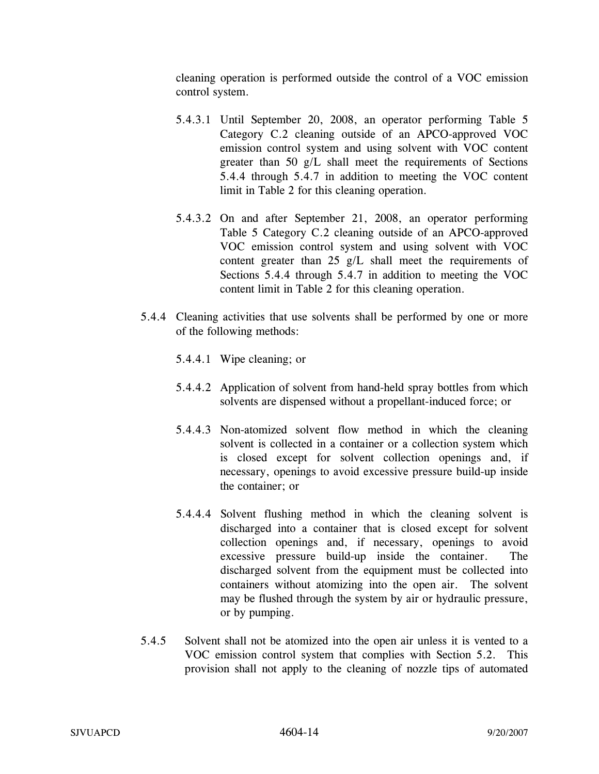cleaning operation is performed outside the control of a VOC emission control system.

- 5.4.3.1 Until September 20, 2008, an operator performing Table 5 Category C.2 cleaning outside of an APCO-approved VOC emission control system and using solvent with VOC content greater than 50 g/L shall meet the requirements of Sections 5.4.4 through 5.4.7 in addition to meeting the VOC content limit in Table 2 for this cleaning operation.
- 5.4.3.2 On and after September 21, 2008, an operator performing Table 5 Category C.2 cleaning outside of an APCO-approved VOC emission control system and using solvent with VOC content greater than 25 g/L shall meet the requirements of Sections 5.4.4 through 5.4.7 in addition to meeting the VOC content limit in Table 2 for this cleaning operation.
- 5.4.4 Cleaning activities that use solvents shall be performed by one or more of the following methods:
	- 5.4.4.1 Wipe cleaning; or
	- 5.4.4.2 Application of solvent from hand-held spray bottles from which solvents are dispensed without a propellant-induced force; or
	- 5.4.4.3 Non-atomized solvent flow method in which the cleaning solvent is collected in a container or a collection system which is closed except for solvent collection openings and, if necessary, openings to avoid excessive pressure build-up inside the container; or
	- 5.4.4.4 Solvent flushing method in which the cleaning solvent is discharged into a container that is closed except for solvent collection openings and, if necessary, openings to avoid excessive pressure build-up inside the container. The discharged solvent from the equipment must be collected into containers without atomizing into the open air. The solvent may be flushed through the system by air or hydraulic pressure, or by pumping.
- 5.4.5 Solvent shall not be atomized into the open air unless it is vented to a VOC emission control system that complies with Section 5.2. This provision shall not apply to the cleaning of nozzle tips of automated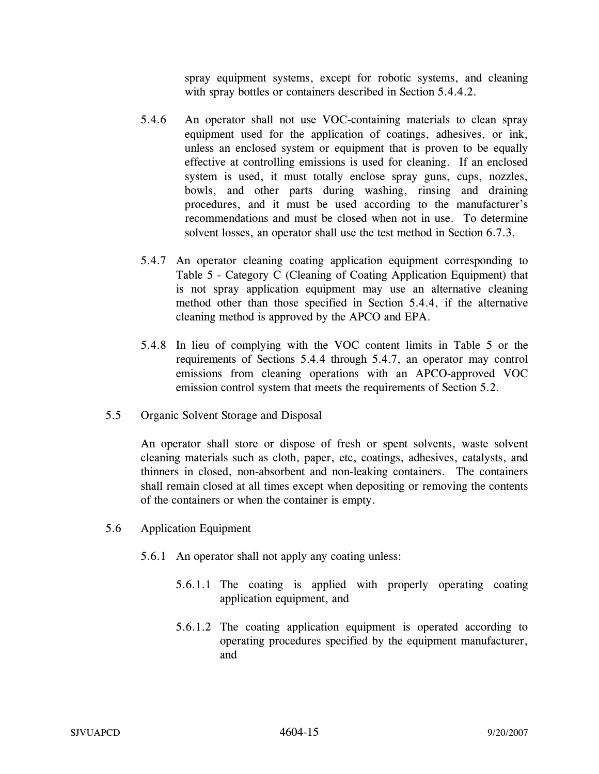spray equipment systems, except for robotic systems, and cleaning with spray bottles or containers described in Section 5.4.4.2.

- 5.4.6 An operator shall not use VOC-containing materials to clean spray equipment used for the application of coatings, adhesives, or ink, unless an enclosed system or equipment that is proven to be equally effective at controlling emissions is used for cleaning. If an enclosed system is used, it must totally enclose spray guns, cups, nozzles, bowls, and other parts during washing, rinsing and draining procedures, and it must be used according to the manufacturer's recommendations and must be closed when not in use. To determine solvent losses, an operator shall use the test method in Section 6.7.3.
- 5.4.7 An operator cleaning coating application equipment corresponding to Table 5 - Category C (Cleaning of Coating Application Equipment) that is not spray application equipment may use an alternative cleaning method other than those specified in Section 5.4.4, if the alternative cleaning method is approved by the APCO and EPA.
- 5.4.8 In lieu of complying with the VOC content limits in Table 5 or the requirements of Sections 5.4.4 through 5.4.7, an operator may control emissions from cleaning operations with an APCO-approved VOC emission control system that meets the requirements of Section 5.2.
- 5.5 Organic Solvent Storage and Disposal

An operator shall store or dispose of fresh or spent solvents, waste solvent cleaning materials such as cloth, paper, etc, coatings, adhesives, catalysts, and thinners in closed, non-absorbent and non-leaking containers. The containers shall remain closed at all times except when depositing or removing the contents of the containers or when the container is empty.

- 5.6 Application Equipment
	- 5.6.1 An operator shall not apply any coating unless:
		- 5.6.1.1 The coating is applied with properly operating coating application equipment, and
		- 5.6.1.2 The coating application equipment is operated according to operating procedures specified by the equipment manufacturer, and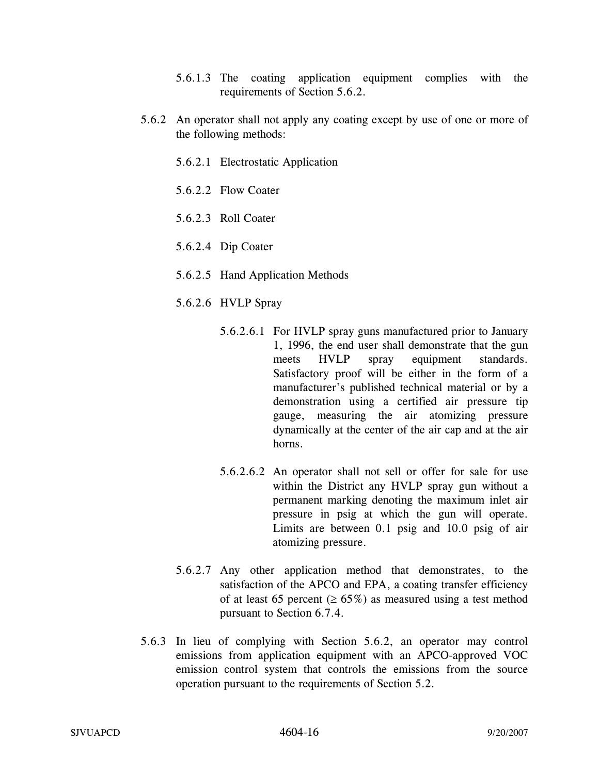- 5.6.1.3 The coating application equipment complies with the requirements of Section 5.6.2.
- 5.6.2 An operator shall not apply any coating except by use of one or more of the following methods:
	- 5.6.2.1 Electrostatic Application
	- 5.6.2.2 Flow Coater
	- 5.6.2.3 Roll Coater
	- 5.6.2.4 Dip Coater
	- 5.6.2.5 Hand Application Methods
	- 5.6.2.6 HVLP Spray
		- 5.6.2.6.1 For HVLP spray guns manufactured prior to January 1, 1996, the end user shall demonstrate that the gun meets HVLP spray equipment standards. Satisfactory proof will be either in the form of a manufacturer's published technical material or by a demonstration using a certified air pressure tip gauge, measuring the air atomizing pressure dynamically at the center of the air cap and at the air horns.
		- 5.6.2.6.2 An operator shall not sell or offer for sale for use within the District any HVLP spray gun without a permanent marking denoting the maximum inlet air pressure in psig at which the gun will operate. Limits are between 0.1 psig and 10.0 psig of air atomizing pressure.
	- 5.6.2.7 Any other application method that demonstrates, to the satisfaction of the APCO and EPA, a coating transfer efficiency of at least 65 percent ( $\geq 65\%$ ) as measured using a test method pursuant to Section 6.7.4.
- 5.6.3 In lieu of complying with Section 5.6.2, an operator may control emissions from application equipment with an APCO-approved VOC emission control system that controls the emissions from the source operation pursuant to the requirements of Section 5.2.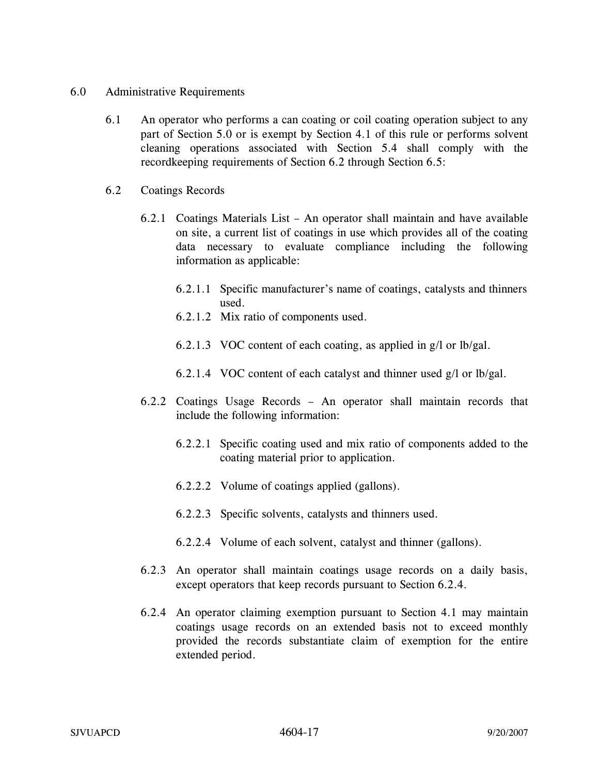- 6.0 Administrative Requirements
	- 6.1 An operator who performs a can coating or coil coating operation subject to any part of Section 5.0 or is exempt by Section 4.1 of this rule or performs solvent cleaning operations associated with Section 5.4 shall comply with the recordkeeping requirements of Section 6.2 through Section 6.5:
	- 6.2 Coatings Records
		- 6.2.1 Coatings Materials List An operator shall maintain and have available on site, a current list of coatings in use which provides all of the coating data necessary to evaluate compliance including the following information as applicable:
			- 6.2.1.1 Specific manufacturer's name of coatings, catalysts and thinners used.
			- 6.2.1.2 Mix ratio of components used.
			- 6.2.1.3 VOC content of each coating, as applied in g/l or lb/gal.
			- 6.2.1.4 VOC content of each catalyst and thinner used g/l or lb/gal.
		- 6.2.2 Coatings Usage Records An operator shall maintain records that include the following information:
			- 6.2.2.1 Specific coating used and mix ratio of components added to the coating material prior to application.
			- 6.2.2.2 Volume of coatings applied (gallons).
			- 6.2.2.3 Specific solvents, catalysts and thinners used.
			- 6.2.2.4 Volume of each solvent, catalyst and thinner (gallons).
		- 6.2.3 An operator shall maintain coatings usage records on a daily basis, except operators that keep records pursuant to Section 6.2.4.
		- 6.2.4 An operator claiming exemption pursuant to Section 4.1 may maintain coatings usage records on an extended basis not to exceed monthly provided the records substantiate claim of exemption for the entire extended period.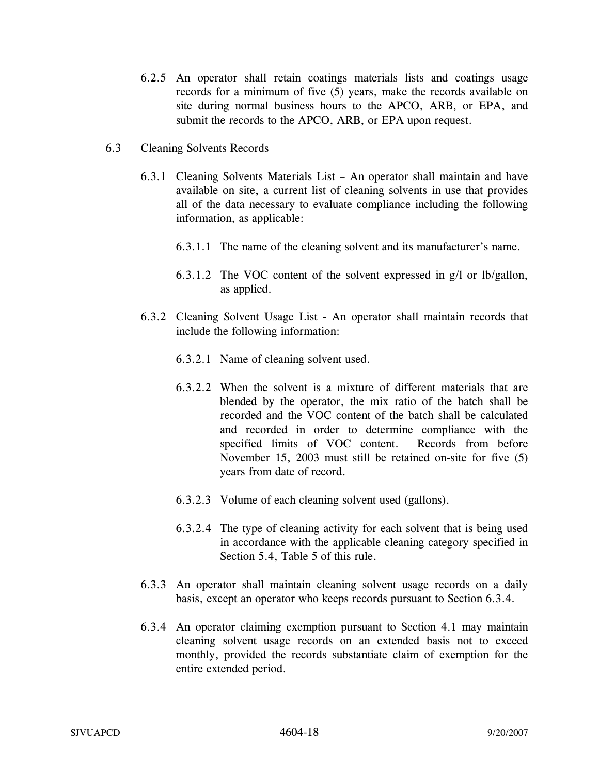- 6.2.5 An operator shall retain coatings materials lists and coatings usage records for a minimum of five (5) years, make the records available on site during normal business hours to the APCO, ARB, or EPA, and submit the records to the APCO, ARB, or EPA upon request.
- 6.3 Cleaning Solvents Records
	- 6.3.1 Cleaning Solvents Materials List An operator shall maintain and have available on site, a current list of cleaning solvents in use that provides all of the data necessary to evaluate compliance including the following information, as applicable:
		- 6.3.1.1 The name of the cleaning solvent and its manufacturer's name.
		- 6.3.1.2 The VOC content of the solvent expressed in g/l or lb/gallon, as applied.
	- 6.3.2 Cleaning Solvent Usage List An operator shall maintain records that include the following information:
		- 6.3.2.1 Name of cleaning solvent used.
		- 6.3.2.2 When the solvent is a mixture of different materials that are blended by the operator, the mix ratio of the batch shall be recorded and the VOC content of the batch shall be calculated and recorded in order to determine compliance with the specified limits of VOC content. Records from before November 15, 2003 must still be retained on-site for five (5) years from date of record.
		- 6.3.2.3 Volume of each cleaning solvent used (gallons).
		- 6.3.2.4 The type of cleaning activity for each solvent that is being used in accordance with the applicable cleaning category specified in Section 5.4, Table 5 of this rule.
	- 6.3.3 An operator shall maintain cleaning solvent usage records on a daily basis, except an operator who keeps records pursuant to Section 6.3.4.
	- 6.3.4 An operator claiming exemption pursuant to Section 4.1 may maintain cleaning solvent usage records on an extended basis not to exceed monthly, provided the records substantiate claim of exemption for the entire extended period.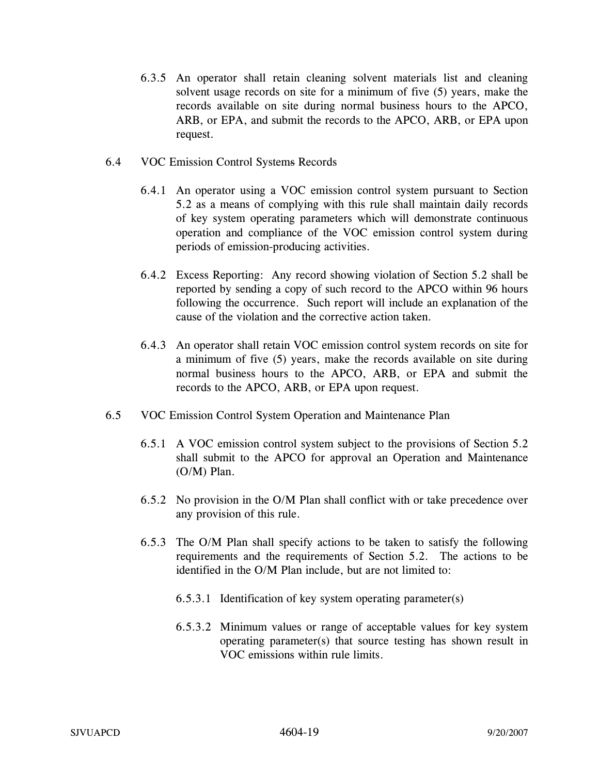- 6.3.5 An operator shall retain cleaning solvent materials list and cleaning solvent usage records on site for a minimum of five (5) years, make the records available on site during normal business hours to the APCO, ARB, or EPA, and submit the records to the APCO, ARB, or EPA upon request.
- 6.4 VOC Emission Control Systems Records
	- 6.4.1 An operator using a VOC emission control system pursuant to Section 5.2 as a means of complying with this rule shall maintain daily records of key system operating parameters which will demonstrate continuous operation and compliance of the VOC emission control system during periods of emission-producing activities.
	- 6.4.2 Excess Reporting: Any record showing violation of Section 5.2 shall be reported by sending a copy of such record to the APCO within 96 hours following the occurrence. Such report will include an explanation of the cause of the violation and the corrective action taken.
	- 6.4.3 An operator shall retain VOC emission control system records on site for a minimum of five (5) years, make the records available on site during normal business hours to the APCO, ARB, or EPA and submit the records to the APCO, ARB, or EPA upon request.
- 6.5 VOC Emission Control System Operation and Maintenance Plan
	- 6.5.1 A VOC emission control system subject to the provisions of Section 5.2 shall submit to the APCO for approval an Operation and Maintenance (O/M) Plan.
	- 6.5.2 No provision in the O/M Plan shall conflict with or take precedence over any provision of this rule.
	- 6.5.3 The O/M Plan shall specify actions to be taken to satisfy the following requirements and the requirements of Section 5.2. The actions to be identified in the O/M Plan include, but are not limited to:
		- 6.5.3.1 Identification of key system operating parameter(s)
		- 6.5.3.2 Minimum values or range of acceptable values for key system operating parameter(s) that source testing has shown result in VOC emissions within rule limits.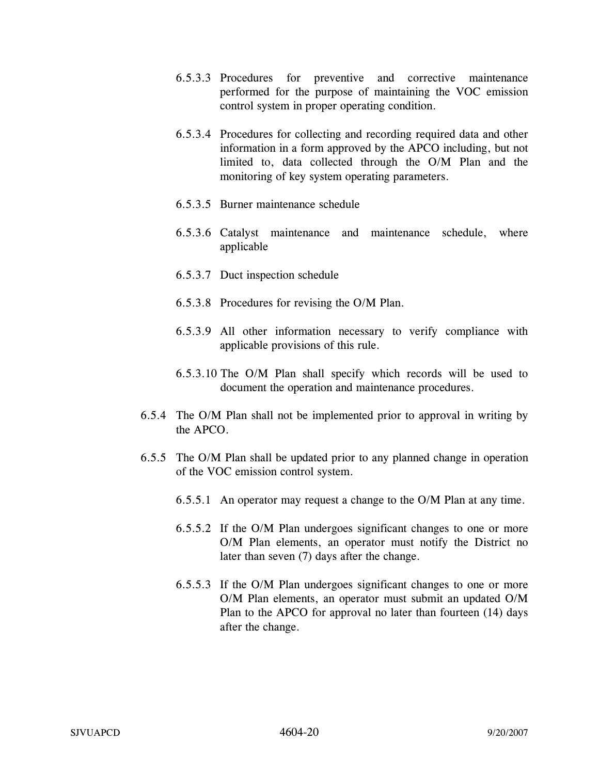- 6.5.3.3 Procedures for preventive and corrective maintenance performed for the purpose of maintaining the VOC emission control system in proper operating condition.
- 6.5.3.4 Procedures for collecting and recording required data and other information in a form approved by the APCO including, but not limited to, data collected through the O/M Plan and the monitoring of key system operating parameters.
- 6.5.3.5 Burner maintenance schedule
- 6.5.3.6 Catalyst maintenance and maintenance schedule, where applicable
- 6.5.3.7 Duct inspection schedule
- 6.5.3.8 Procedures for revising the O/M Plan.
- 6.5.3.9 All other information necessary to verify compliance with applicable provisions of this rule.
- 6.5.3.10 The O/M Plan shall specify which records will be used to document the operation and maintenance procedures.
- 6.5.4 The O/M Plan shall not be implemented prior to approval in writing by the APCO.
- 6.5.5 The O/M Plan shall be updated prior to any planned change in operation of the VOC emission control system.
	- 6.5.5.1 An operator may request a change to the O/M Plan at any time.
	- 6.5.5.2 If the O/M Plan undergoes significant changes to one or more O/M Plan elements, an operator must notify the District no later than seven (7) days after the change.
	- 6.5.5.3 If the O/M Plan undergoes significant changes to one or more O/M Plan elements, an operator must submit an updated O/M Plan to the APCO for approval no later than fourteen (14) days after the change.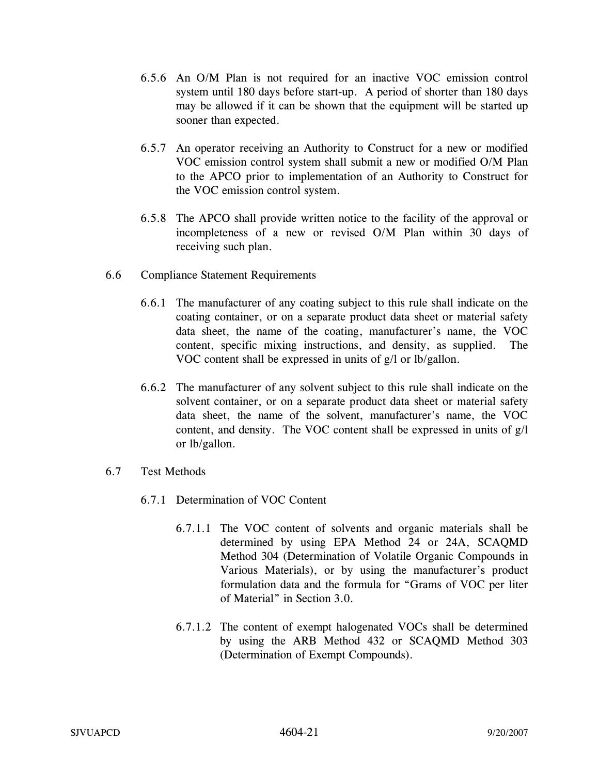- 6.5.6 An O/M Plan is not required for an inactive VOC emission control system until 180 days before start-up. A period of shorter than 180 days may be allowed if it can be shown that the equipment will be started up sooner than expected.
- 6.5.7 An operator receiving an Authority to Construct for a new or modified VOC emission control system shall submit a new or modified O/M Plan to the APCO prior to implementation of an Authority to Construct for the VOC emission control system.
- 6.5.8 The APCO shall provide written notice to the facility of the approval or incompleteness of a new or revised O/M Plan within 30 days of receiving such plan.
- 6.6 Compliance Statement Requirements
	- 6.6.1 The manufacturer of any coating subject to this rule shall indicate on the coating container, or on a separate product data sheet or material safety data sheet, the name of the coating, manufacturer's name, the VOC content, specific mixing instructions, and density, as supplied. The VOC content shall be expressed in units of g/l or lb/gallon.
	- 6.6.2 The manufacturer of any solvent subject to this rule shall indicate on the solvent container, or on a separate product data sheet or material safety data sheet, the name of the solvent, manufacturer's name, the VOC content, and density. The VOC content shall be expressed in units of g/l or lb/gallon.
- 6.7 Test Methods
	- 6.7.1 Determination of VOC Content
		- 6.7.1.1 The VOC content of solvents and organic materials shall be determined by using EPA Method 24 or 24A, SCAQMD Method 304 (Determination of Volatile Organic Compounds in Various Materials), or by using the manufacturer's product formulation data and the formula for "Grams of VOC per liter of Material" in Section 3.0.
		- 6.7.1.2 The content of exempt halogenated VOCs shall be determined by using the ARB Method 432 or SCAQMD Method 303 (Determination of Exempt Compounds).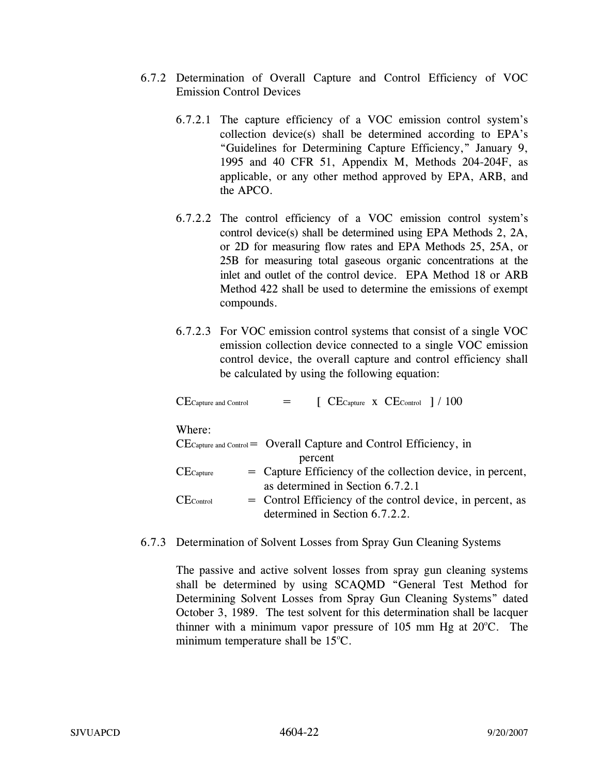- 6.7.2 Determination of Overall Capture and Control Efficiency of VOC Emission Control Devices
	- 6.7.2.1 The capture efficiency of a VOC emission control system's collection device(s) shall be determined according to EPA's "Guidelines for Determining Capture Efficiency," January 9, 1995 and 40 CFR 51, Appendix M, Methods 204-204F, as applicable, or any other method approved by EPA, ARB, and the APCO.
	- 6.7.2.2 The control efficiency of a VOC emission control system's control device(s) shall be determined using EPA Methods 2, 2A, or 2D for measuring flow rates and EPA Methods 25, 25A, or 25B for measuring total gaseous organic concentrations at the inlet and outlet of the control device. EPA Method 18 or ARB Method 422 shall be used to determine the emissions of exempt compounds.
	- 6.7.2.3 For VOC emission control systems that consist of a single VOC emission collection device connected to a single VOC emission control device, the overall capture and control efficiency shall be calculated by using the following equation:

| $CE$ Capture and Control | $[$ CE <sub>Capture</sub> x CE <sub>Control</sub> $]/100$                                     |
|--------------------------|-----------------------------------------------------------------------------------------------|
| Where:                   |                                                                                               |
|                          | $CE_{\text{capture and Control}} = \text{Overall Capture and Control Efficiency}, \text{ in}$ |
|                          | percent                                                                                       |
| $CE$ Capture             | = Capture Efficiency of the collection device, in percent,                                    |
|                          | as determined in Section 6.7.2.1                                                              |
| $CE_{Control}$           | = Control Efficiency of the control device, in percent, as                                    |
|                          | determined in Section 6.7.2.2.                                                                |

6.7.3 Determination of Solvent Losses from Spray Gun Cleaning Systems

The passive and active solvent losses from spray gun cleaning systems shall be determined by using SCAQMD "General Test Method for Determining Solvent Losses from Spray Gun Cleaning Systems" dated October 3, 1989. The test solvent for this determination shall be lacquer thinner with a minimum vapor pressure of  $105$  mm Hg at  $20^{\circ}$ C. The minimum temperature shall be  $15^{\circ}$ C.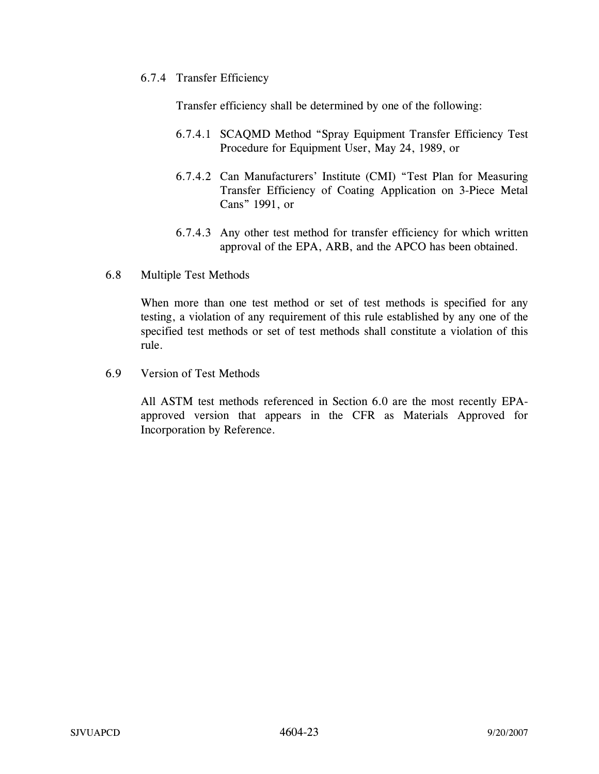6.7.4 Transfer Efficiency

Transfer efficiency shall be determined by one of the following:

- 6.7.4.1 SCAQMD Method "Spray Equipment Transfer Efficiency Test Procedure for Equipment User, May 24, 1989, or
- 6.7.4.2 Can Manufacturers' Institute (CMI) "Test Plan for Measuring Transfer Efficiency of Coating Application on 3-Piece Metal Cans" 1991, or
- 6.7.4.3 Any other test method for transfer efficiency for which written approval of the EPA, ARB, and the APCO has been obtained.
- 6.8 Multiple Test Methods

When more than one test method or set of test methods is specified for any testing, a violation of any requirement of this rule established by any one of the specified test methods or set of test methods shall constitute a violation of this rule.

6.9 Version of Test Methods

All ASTM test methods referenced in Section 6.0 are the most recently EPAapproved version that appears in the CFR as Materials Approved for Incorporation by Reference.